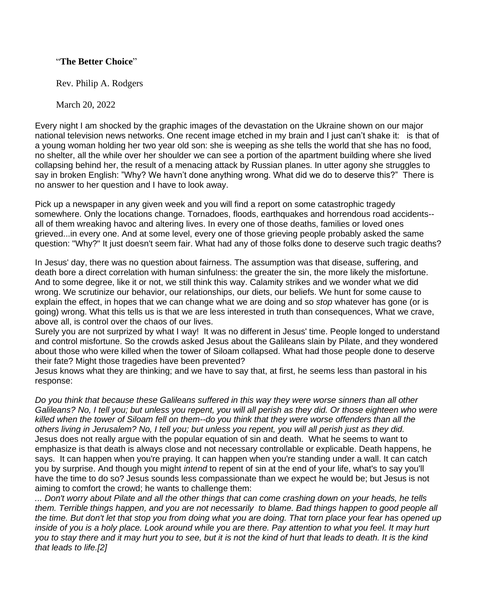## "**The Better Choice**"

Rev. Philip A. Rodgers

March 20, 2022

Every night I am shocked by the graphic images of the devastation on the Ukraine shown on our major national television news networks. One recent image etched in my brain and I just can't shake it: is that of a young woman holding her two year old son: she is weeping as she tells the world that she has no food, no shelter, all the while over her shoulder we can see a portion of the apartment building where she lived collapsing behind her, the result of a menacing attack by Russian planes. In utter agony she struggles to say in broken English: "Why? We havn't done anything wrong. What did we do to deserve this?" There is no answer to her question and I have to look away.

Pick up a newspaper in any given week and you will find a report on some catastrophic tragedy somewhere. Only the locations change. Tornadoes, floods, earthquakes and horrendous road accidents- all of them wreaking havoc and altering lives. In every one of those deaths, families or loved ones grieved...in every one. And at some level, every one of those grieving people probably asked the same question: "Why?" It just doesn't seem fair. What had any of those folks done to deserve such tragic deaths?

In Jesus' day, there was no question about fairness. The assumption was that disease, suffering, and death bore a direct correlation with human sinfulness: the greater the sin, the more likely the misfortune. And to some degree, like it or not, we still think this way. Calamity strikes and we wonder what we did wrong. We scrutinize our behavior, our relationships, our diets, our beliefs. We hunt for some cause to explain the effect, in hopes that we can change what we are doing and so *stop* whatever has gone (or is going) wrong. What this tells us is that we are less interested in truth than consequences, What we crave, above all, is control over the chaos of our lives.

Surely you are not surprized by what I way! It was no different in Jesus' time. People longed to understand and control misfortune. So the crowds asked Jesus about the Galileans slain by Pilate, and they wondered about those who were killed when the tower of Siloam collapsed. What had those people done to deserve their fate? Might those tragedies have been prevented?

Jesus knows what they are thinking; and we have to say that, at first, he seems less than pastoral in his response:

*Do you think that because these Galileans suffered in this way they were worse sinners than all other Galileans? No, I tell you; but unless you repent, you will all perish as they did. Or those eighteen who were killed when the tower of Siloam fell on them--do you think that they were worse offenders than all the others living in Jerusalem? No, I tell you; but unless you repent, you will all perish just as they did.* Jesus does not really argue with the popular equation of sin and death. What he seems to want to emphasize is that death is always close and not necessary controllable or explicable. Death happens, he says. It can happen when you're praying. It can happen when you're standing under a wall. It can catch you by surprise. And though you might *intend* to repent of sin at the end of your life, what's to say you'll have the time to do so? Jesus sounds less compassionate than we expect he would be; but Jesus is not aiming to comfort the crowd; he wants to challenge them:

*... Don't worry about Pilate and all the other things that can come crashing down on your heads, he tells them. Terrible things happen, and you are not necessarily to blame. Bad things happen to good people all the time. But don't let that stop you from doing what you are doing. That torn place your fear has opened up*  inside of you is a holy place. Look around while you are there. Pay attention to what you feel. It may hurt *you to stay there and it may hurt you to see, but it is not the kind of hurt that leads to death. It is the kind that leads to life.[2]*